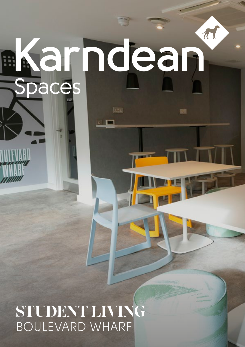# arndean m

## BOULEVARD WHARF STUDENT LIVING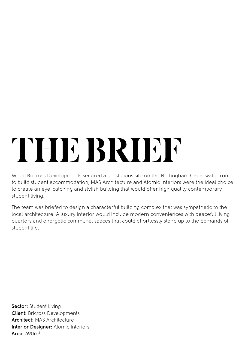# THE BRIEF

When Bricross Developments secured a prestigious site on the Nottingham Canal waterfront to build student accommodation, MAS Architecture and Atomic Interiors were the ideal choice to create an eye-catching and stylish building that would offer high quality contemporary student living.

The team was briefed to design a characterful building complex that was sympathetic to the local architecture. A luxury interior would include modern conveniences with peaceful living quarters and energetic communal spaces that could effortlessly stand up to the demands of student life.

**Sector:** Student Living **Client:** Bricross Developments **Architect:** MAS Architecture **Interior Designer:** Atomic Interiors **Area:** 690m2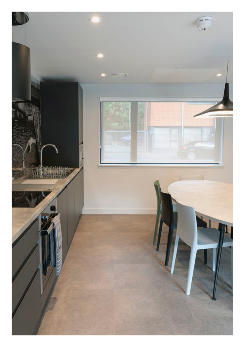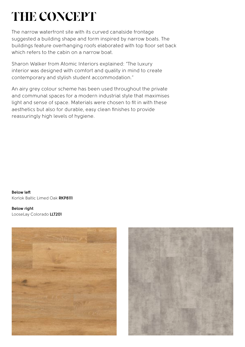#### THE CONCEPT

The narrow waterfront site with its curved canalside frontage suggested a building shape and form inspired by narrow boats. The buildings feature overhanging roofs elaborated with top floor set back which refers to the cabin on a narrow boat.

Sharon Walker from Atomic Interiors explained: "The luxury interior was designed with comfort and quality in mind to create contemporary and stylish student accommodation."

An airy grey colour scheme has been used throughout the private and communal spaces for a modern industrial style that maximises light and sense of space. Materials were chosen to fit in with these aesthetics but also for durable, easy clean finishes to provide reassuringly high levels of hygiene.

**Below left** Korlok Baltic Limed Oak **RKP8111**

**Below right** LooseLay Colorado **LLT201**



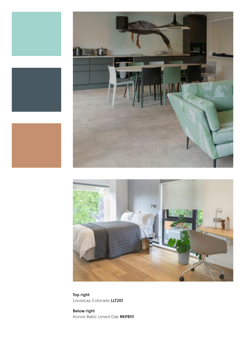



**Top right** LooseLay Colorado **LLT201**

**Below right** Korlok Baltic Limed Oak **RKP8111**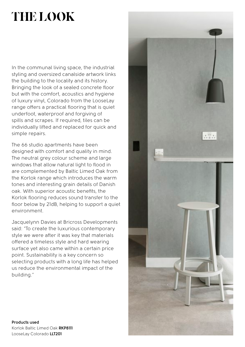### THE LOOK

In the communal living space, the industrial styling and oversized canalside artwork links the building to the locality and its history. Bringing the look of a sealed concrete floor but with the comfort, acoustics and hygiene of luxury vinyl, Colorado from the LooseLay range offers a practical flooring that is quiet underfoot, waterproof and forgiving of spills and scrapes. If required, tiles can be individually lifted and replaced for quick and simple repairs.

The 66 studio apartments have been designed with comfort and quality in mind. The neutral grey colour scheme and large windows that allow natural light to flood in are complemented by Baltic Limed Oak from the Korlok range which introduces the warm tones and interesting grain details of Danish oak. With superior acoustic benefits, the Korlok flooring reduces sound transfer to the floor below by 21dB, helping to support a quiet environment.

Jacquelynn Davies at Bricross Developments said: "To create the luxurious contemporary style we were after it was key that materials offered a timeless style and hard wearing surface yet also came within a certain price point. Sustainability is a key concern so selecting products with a long life has helped us reduce the environmental impact of the building."

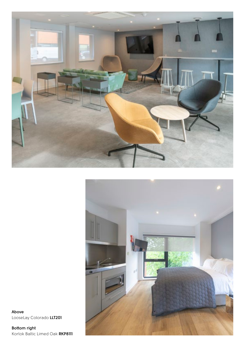



**Above** LooseLay Colorado **LLT201**

**Bottom right** Korlok Baltic Limed Oak **RKP8111**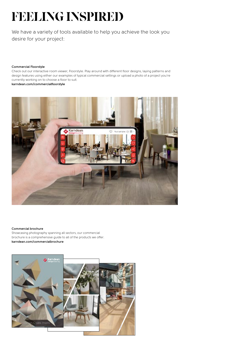#### FEELING INSPIRED

We have a variety of tools available to help you achieve the look you desire for your project:

#### **Commercial Floorstyle**

Check out our interactive room viewer, Floorstyle. Play around with different floor designs, laying patterns and design features using either our examples of typical commercial settings or upload a photo of a project you're currently working on to choose a floor to suit.

**[karndean.com/commercialfloorstyle](http://)**



#### **Commercial brochure**

Showcasing photography spanning all sectors, our commercial brochure is a comprehensive guide to all of the products we offer. **[karndean.com/commercialbrochure](http://)**

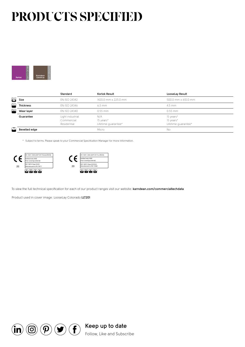## PRODUCTS SPECIFIED



|                                                                      |               | Standard                                      | Korlok Result                           | LooseLay Result                               |
|----------------------------------------------------------------------|---------------|-----------------------------------------------|-----------------------------------------|-----------------------------------------------|
| $\color{red} \color{red} \textcolor{blue}{\textcircled{\texttt{H}}}$ | Size          | FN ISO 24342                                  | $1420.0$ mm x $225.0$ mm                | $5000$ mm x 610.0 mm                          |
| ₩                                                                    | Thickness     | FN ISO 24346                                  | $6.5$ mm                                | $4.5$ mm                                      |
| ÊX                                                                   | Wear layer    | FN ISO 24340                                  | $0.55$ mm                               | $0.55$ mm                                     |
|                                                                      | Guarantee     | Light industrial<br>Commercial<br>Residential | N/A<br>15 years*<br>Lifetime guarantee* | 15 years*<br>15 years*<br>Lifetime guarantee* |
| ×.                                                                   | Bevelled edge |                                               | Micro                                   | Nο                                            |

\* Subject to terms. Please speak to your Commercial Specification Manager for more information.



To view the full technical specification for each of our product ranges visit our website: **karndean.com/commercialtechdata**

Product used in cover image: LooseLay Colorado **LLT201**